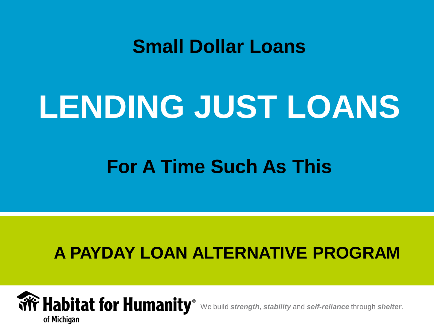#### **Small Dollar Loans**

# **LENDING JUST LOANS**

#### **For A Time Such As This**

#### **A PAYDAY LOAN ALTERNATIVE PROGRAM**

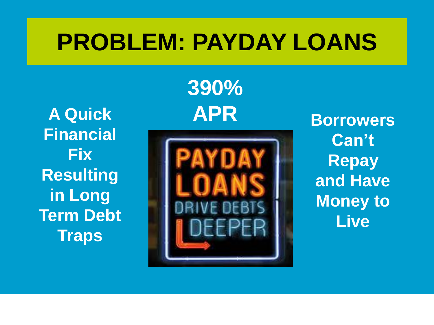#### **PROBLEM: PAYDAY LOANS**

**A Quick Financial Fix Resulting in Long Term Debt Traps**

**390% APR**



**Borrowers Can't Repay and Have Money to Live**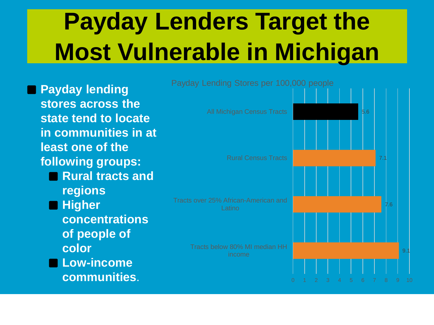# **Payday Lenders Target the Most Vulnerable in Michigan**

**Payday lending stores across the state tend to locate in communities in at least one of the following groups:** ◼**Rural tracts and regions** ■ Higher **concentrations of people of color** ■Low-income **communities**.

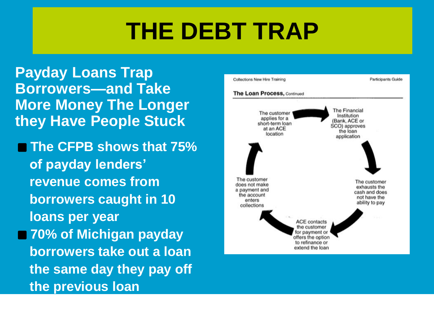#### **THE DEBT TRAP**

**Payday Loans Trap Borrowers—and Take More Money The Longer they Have People Stuck**

■ The CFPB shows that 75% **of payday lenders' revenue comes from borrowers caught in 10 loans per year** ■ 70% of Michigan payday **borrowers take out a loan the same day they pay off the previous loan**

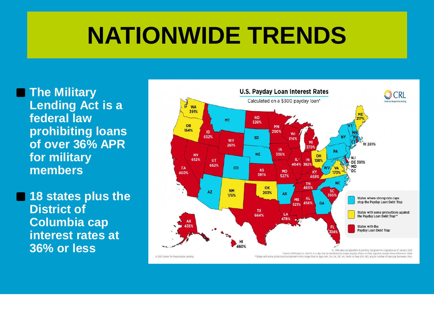#### **NATIONWIDE TRENDS**

■ The Military **Lending Act is a federal law prohibiting loans of over 36% APR for military members**

■ 18 states plus the **District of Columbia cap interest rates at 36% or less**

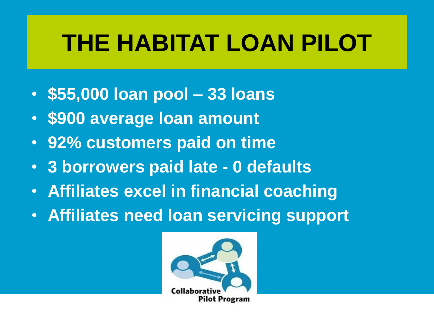# **THE HABITAT LOAN PILOT**

- **\$55,000 loan pool – 33 loans**
- **\$900 average loan amount**
- **92% customers paid on time**
- **3 borrowers paid late - 0 defaults**
- **Affiliates excel in financial coaching**
- **Affiliates need loan servicing support**

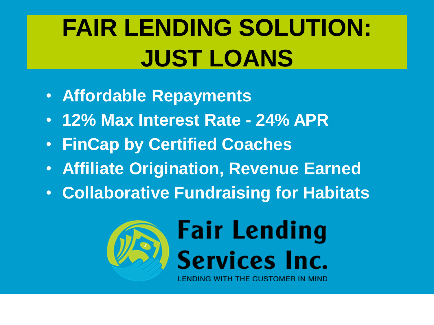## **FAIR LENDING SOLUTION: JUST LOANS**

- **Affordable Repayments**
- **12% Max Interest Rate - 24% APR**
- **FinCap by Certified Coaches**
- **Affiliate Origination, Revenue Earned**
- **Collaborative Fundraising for Habitats**

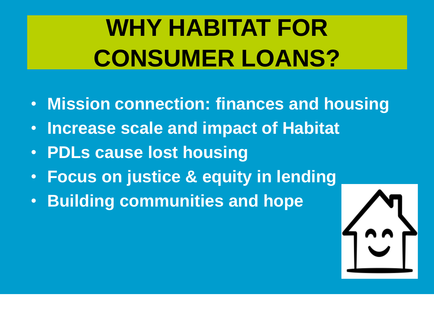# **WHY HABITAT FOR CONSUMER LOANS?**

- **Mission connection: finances and housing**
- **Increase scale and impact of Habitat**
- **PDLs cause lost housing**
- **Focus on justice & equity in lending**
- **Building communities and hope**

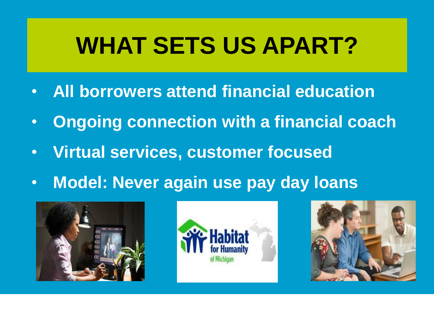### **WHAT SETS US APART?**

- **All borrowers attend financial education**
- **Ongoing connection with a financial coach**
- **Virtual services, customer focused**
- **Model: Never again use pay day loans**





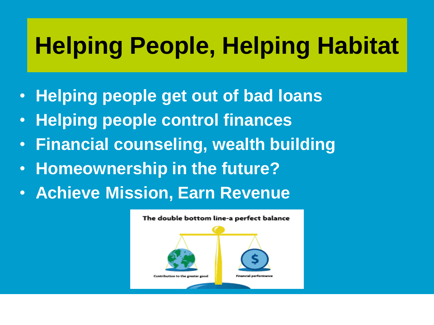### **Helping People, Helping Habitat**

- **Helping people get out of bad loans**
- **Helping people control finances**
- **Financial counseling, wealth building**
- **Homeownership in the future?**
- **Achieve Mission, Earn Revenue**

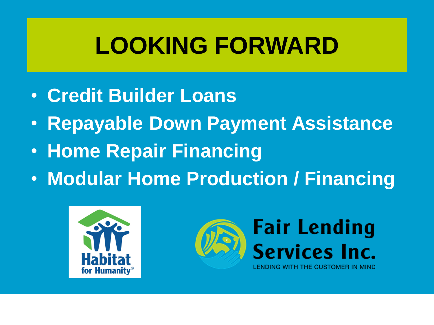### **LOOKING FORWARD**

- **Credit Builder Loans**
- **Repayable Down Payment Assistance**
- **Home Repair Financing**
- **Modular Home Production / Financing**



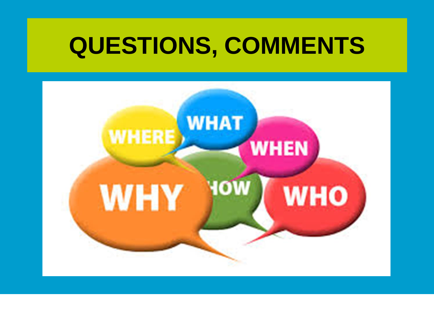#### **QUESTIONS, COMMENTS**